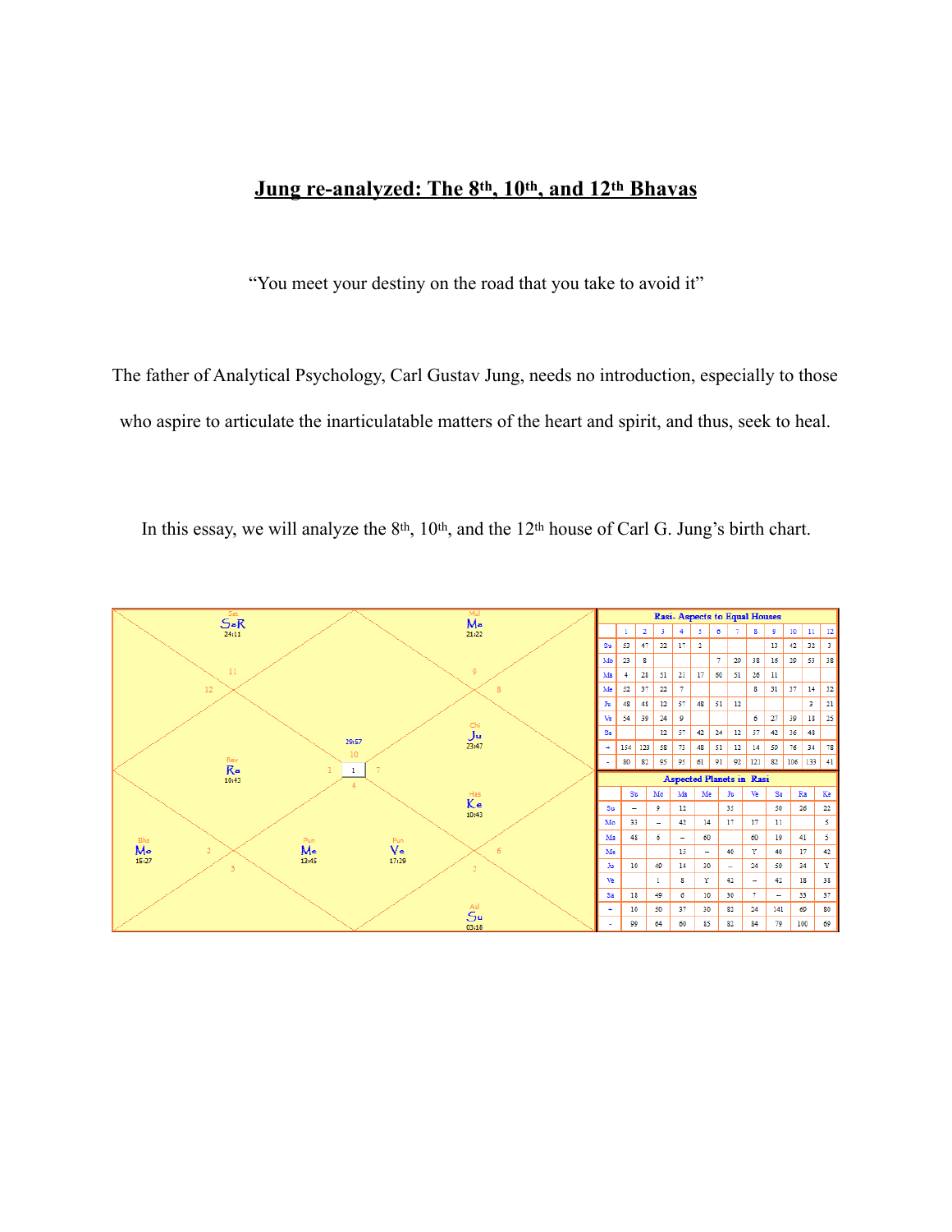# **Jung re-analyzed: The 8th, 10th, and 12th Bhavas**

"You meet your destiny on the road that you take to avoid it"

The father of Analytical Psychology, Carl Gustav Jung, needs no introduction, especially to those who aspire to articulate the inarticulatable matters of the heart and spirit, and thus, seek to heal.

In this essay, we will analyze the 8<sup>th</sup>, 10<sup>th</sup>, and the 12<sup>th</sup> house of Carl G. Jung's birth chart.

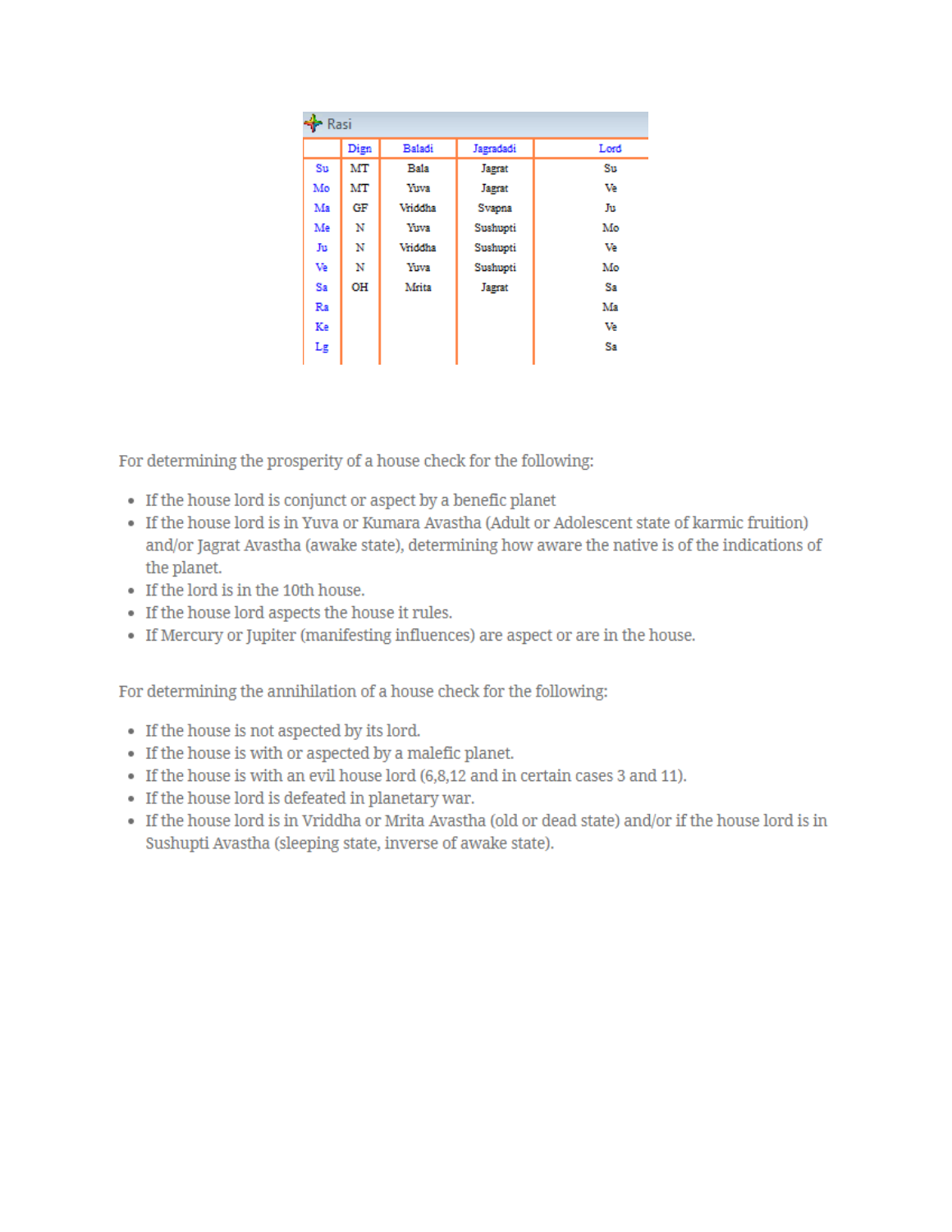| $\bigstar$ Rasi  |      |         |           |                        |
|------------------|------|---------|-----------|------------------------|
|                  | Dign | Baladi  | Jagradadi | Lord                   |
| $S_{\mathrm{U}}$ | MT   | Bala    | Jagrat    | $\mathbf{S}\mathbf{u}$ |
| Mo               | MT   | Yuva    | Jagrat    | Ve                     |
| Ma               | GF   | Vriddha | Svapna    | Ju                     |
| Me               | Ν    | Yuva    | Sushupti  | Mo                     |
| Ju               | N    | Vriddha | Sushupti  | Ve                     |
| Ve               | N    | Yuva    | Sushupti  | Mo                     |
| Sa               | OH   | Mrita   | Jagrat    | Sa                     |
| Ra               |      |         |           | Ma                     |
| Ke               |      |         |           | Ve                     |
| Lg               |      |         |           | Sa                     |

For determining the prosperity of a house check for the following:

- If the house lord is conjunct or aspect by a benefic planet
- If the house lord is in Yuva or Kumara Avastha (Adult or Adolescent state of karmic fruition) and/or Jagrat Avastha (awake state), determining how aware the native is of the indications of the planet.
- If the lord is in the 10th house.
- If the house lord aspects the house it rules.
- If Mercury or Jupiter (manifesting influences) are aspect or are in the house.

For determining the annihilation of a house check for the following:

- If the house is not aspected by its lord.
- If the house is with or aspected by a malefic planet.
- If the house is with an evil house lord (6,8,12 and in certain cases 3 and 11).
- If the house lord is defeated in planetary war.
- If the house lord is in Vriddha or Mrita Avastha (old or dead state) and/or if the house lord is in Sushupti Avastha (sleeping state, inverse of awake state).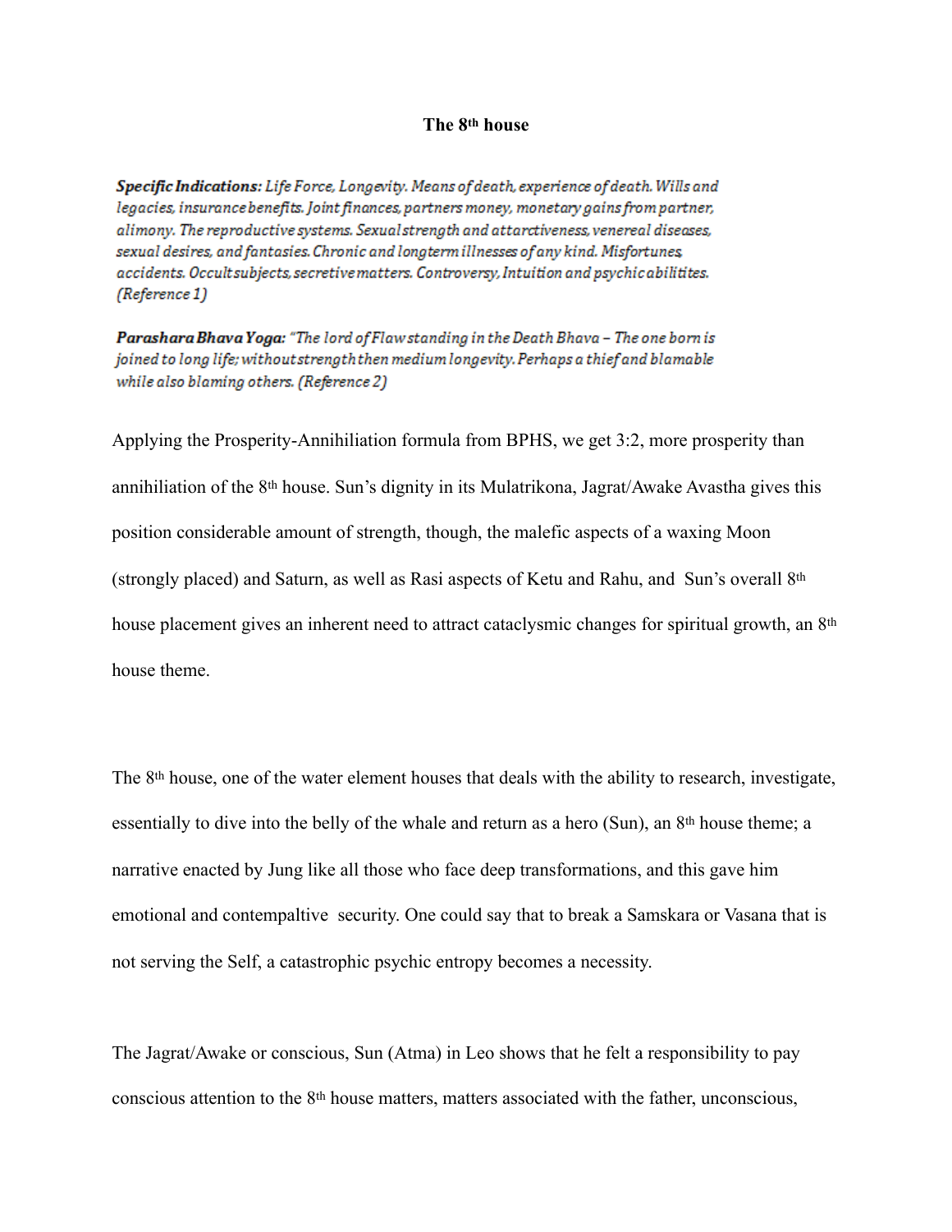#### **The 8th house**

Specific Indications: Life Force, Longevity. Means of death, experience of death. Wills and legacies, insurance benefits. Joint finances, partners money, monetary gains from partner, alimony. The reproductive systems. Sexual strength and attarctiveness, venereal diseases, sexual desires, and fantasies. Chronic and longterm illnesses of any kind. Misfortunes, accidents. Occult subjects, secretive matters. Controversy, Intuition and psychic abilitites. (Reference 1)

Parashara Bhava Yoga: "The lord of Flaw standing in the Death Bhava - The one born is joined to long life; without strength then medium longevity. Perhaps a thief and blamable while also blaming others. (Reference 2)

Applying the Prosperity-Annihiliation formula from BPHS, we get 3:2, more prosperity than annihiliation of the 8th house. Sun's dignity in its Mulatrikona, Jagrat/Awake Avastha gives this position considerable amount of strength, though, the malefic aspects of a waxing Moon (strongly placed) and Saturn, as well as Rasi aspects of Ketu and Rahu, and Sun's overall 8th house placement gives an inherent need to attract cataclysmic changes for spiritual growth, an 8<sup>th</sup> house theme.

The 8th house, one of the water element houses that deals with the ability to research, investigate, essentially to dive into the belly of the whale and return as a hero (Sun), an 8<sup>th</sup> house theme; a narrative enacted by Jung like all those who face deep transformations, and this gave him emotional and contempaltive security. One could say that to break a Samskara or Vasana that is not serving the Self, a catastrophic psychic entropy becomes a necessity.

The Jagrat/Awake or conscious, Sun (Atma) in Leo shows that he felt a responsibility to pay conscious attention to the 8th house matters, matters associated with the father, unconscious,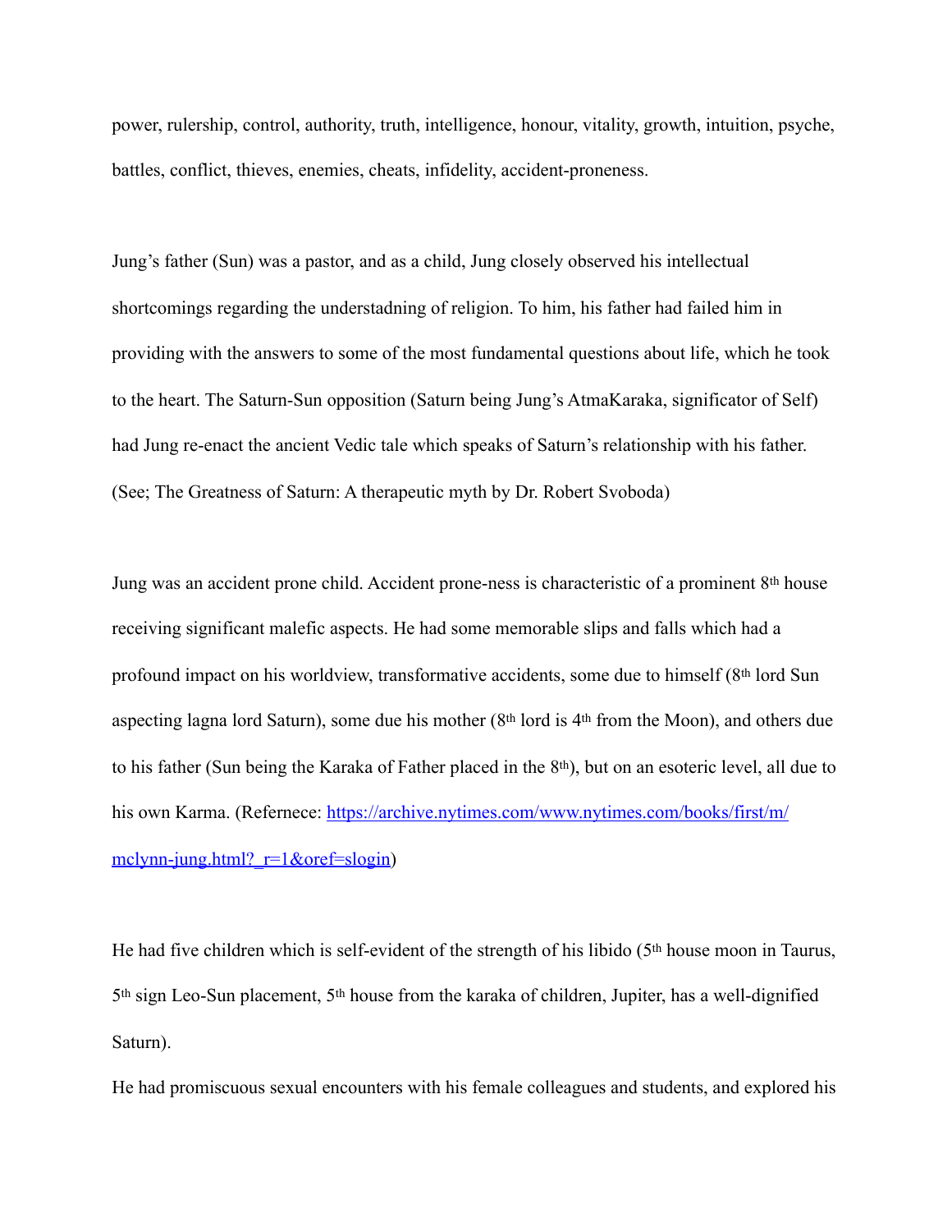power, rulership, control, authority, truth, intelligence, honour, vitality, growth, intuition, psyche, battles, conflict, thieves, enemies, cheats, infidelity, accident-proneness.

Jung's father (Sun) was a pastor, and as a child, Jung closely observed his intellectual shortcomings regarding the understadning of religion. To him, his father had failed him in providing with the answers to some of the most fundamental questions about life, which he took to the heart. The Saturn-Sun opposition (Saturn being Jung's AtmaKaraka, significator of Self) had Jung re-enact the ancient Vedic tale which speaks of Saturn's relationship with his father. (See; The Greatness of Saturn: A therapeutic myth by Dr. Robert Svoboda)

Jung was an accident prone child. Accident prone-ness is characteristic of a prominent 8th house receiving significant malefic aspects. He had some memorable slips and falls which had a profound impact on his worldview, transformative accidents, some due to himself (8th lord Sun aspecting lagna lord Saturn), some due his mother (8th lord is 4th from the Moon), and others due to his father (Sun being the Karaka of Father placed in the 8th), but on an esoteric level, all due to his own Karma. (Refernece: [https://archive.nytimes.com/www.nytimes.com/books/first/m/](https://archive.nytimes.com/www.nytimes.com/books/first/m/mclynn-jung.html?_r=1&oref=slogin) mclynn-jung.html? $r=1$ &oref=slogin)

He had five children which is self-evident of the strength of his libido (5th house moon in Taurus, 5th sign Leo-Sun placement, 5th house from the karaka of children, Jupiter, has a well-dignified Saturn).

He had promiscuous sexual encounters with his female colleagues and students, and explored his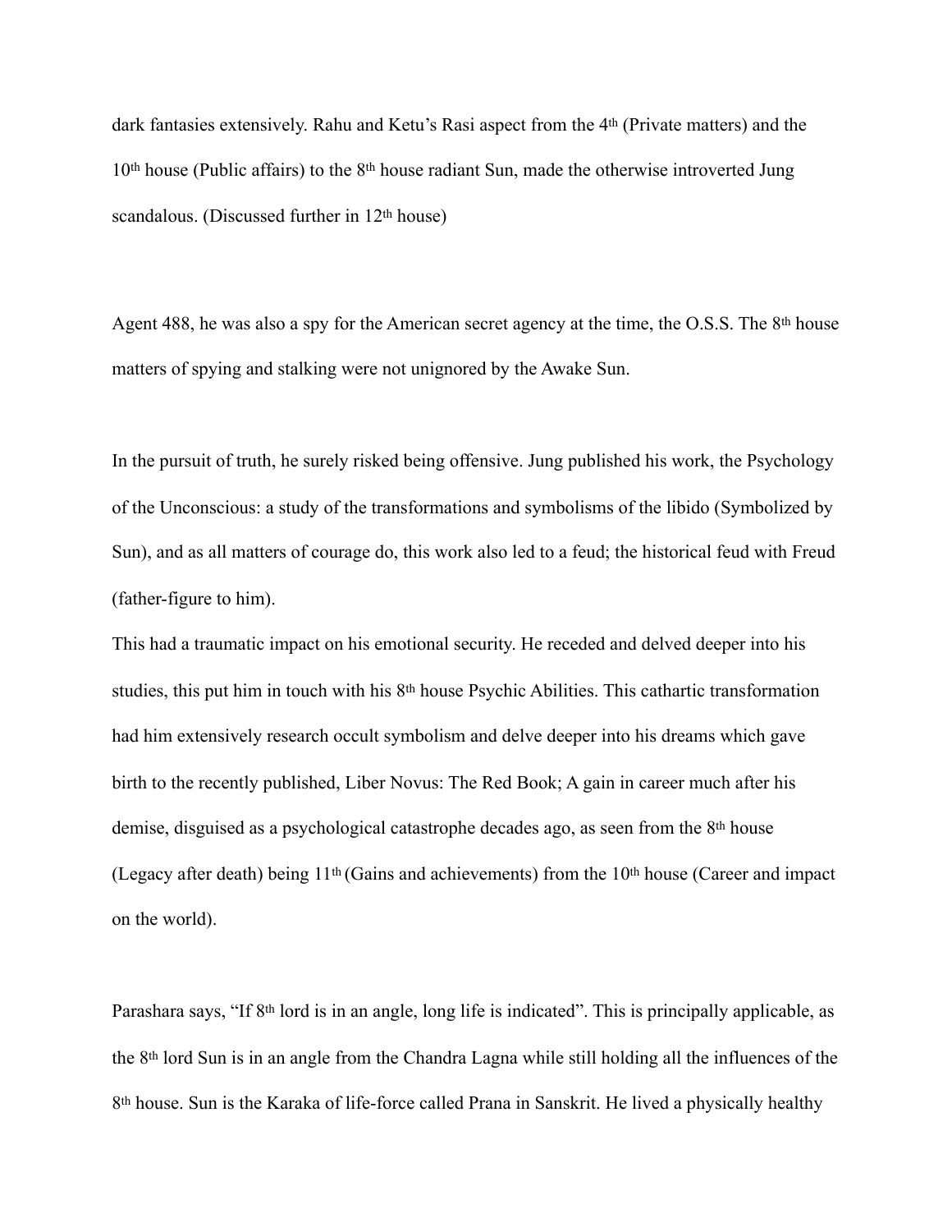dark fantasies extensively. Rahu and Ketu's Rasi aspect from the 4th (Private matters) and the 10<sup>th</sup> house (Public affairs) to the 8<sup>th</sup> house radiant Sun, made the otherwise introverted Jung scandalous. (Discussed further in 12th house)

Agent 488, he was also a spy for the American secret agency at the time, the O.S.S. The 8<sup>th</sup> house matters of spying and stalking were not unignored by the Awake Sun.

In the pursuit of truth, he surely risked being offensive. Jung published his work, the Psychology of the Unconscious: a study of the transformations and symbolisms of the libido (Symbolized by Sun), and as all matters of courage do, this work also led to a feud; the historical feud with Freud (father-figure to him).

This had a traumatic impact on his emotional security. He receded and delved deeper into his studies, this put him in touch with his 8<sup>th</sup> house Psychic Abilities. This cathartic transformation had him extensively research occult symbolism and delve deeper into his dreams which gave birth to the recently published, Liber Novus: The Red Book; A gain in career much after his demise, disguised as a psychological catastrophe decades ago, as seen from the 8th house (Legacy after death) being 11th (Gains and achievements) from the 10th house (Career and impact on the world).

Parashara says, "If 8th lord is in an angle, long life is indicated". This is principally applicable, as the 8th lord Sun is in an angle from the Chandra Lagna while still holding all the influences of the 8th house. Sun is the Karaka of life-force called Prana in Sanskrit. He lived a physically healthy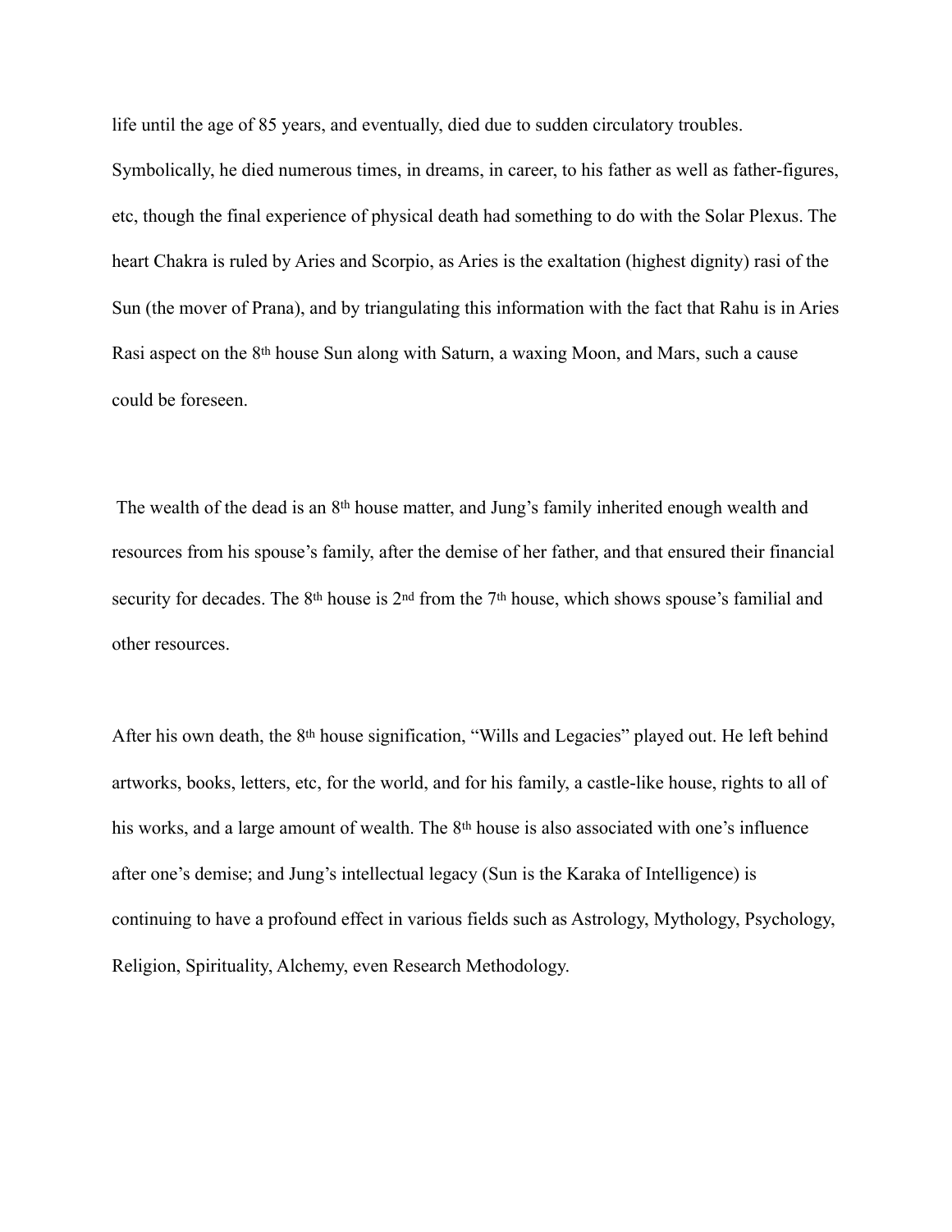life until the age of 85 years, and eventually, died due to sudden circulatory troubles.

Symbolically, he died numerous times, in dreams, in career, to his father as well as father-figures, etc, though the final experience of physical death had something to do with the Solar Plexus. The heart Chakra is ruled by Aries and Scorpio, as Aries is the exaltation (highest dignity) rasi of the Sun (the mover of Prana), and by triangulating this information with the fact that Rahu is in Aries Rasi aspect on the 8th house Sun along with Saturn, a waxing Moon, and Mars, such a cause could be foreseen.

 The wealth of the dead is an 8th house matter, and Jung's family inherited enough wealth and resources from his spouse's family, after the demise of her father, and that ensured their financial security for decades. The 8<sup>th</sup> house is 2<sup>nd</sup> from the 7<sup>th</sup> house, which shows spouse's familial and other resources.

After his own death, the 8th house signification, "Wills and Legacies" played out. He left behind artworks, books, letters, etc, for the world, and for his family, a castle-like house, rights to all of his works, and a large amount of wealth. The 8<sup>th</sup> house is also associated with one's influence after one's demise; and Jung's intellectual legacy (Sun is the Karaka of Intelligence) is continuing to have a profound effect in various fields such as Astrology, Mythology, Psychology, Religion, Spirituality, Alchemy, even Research Methodology.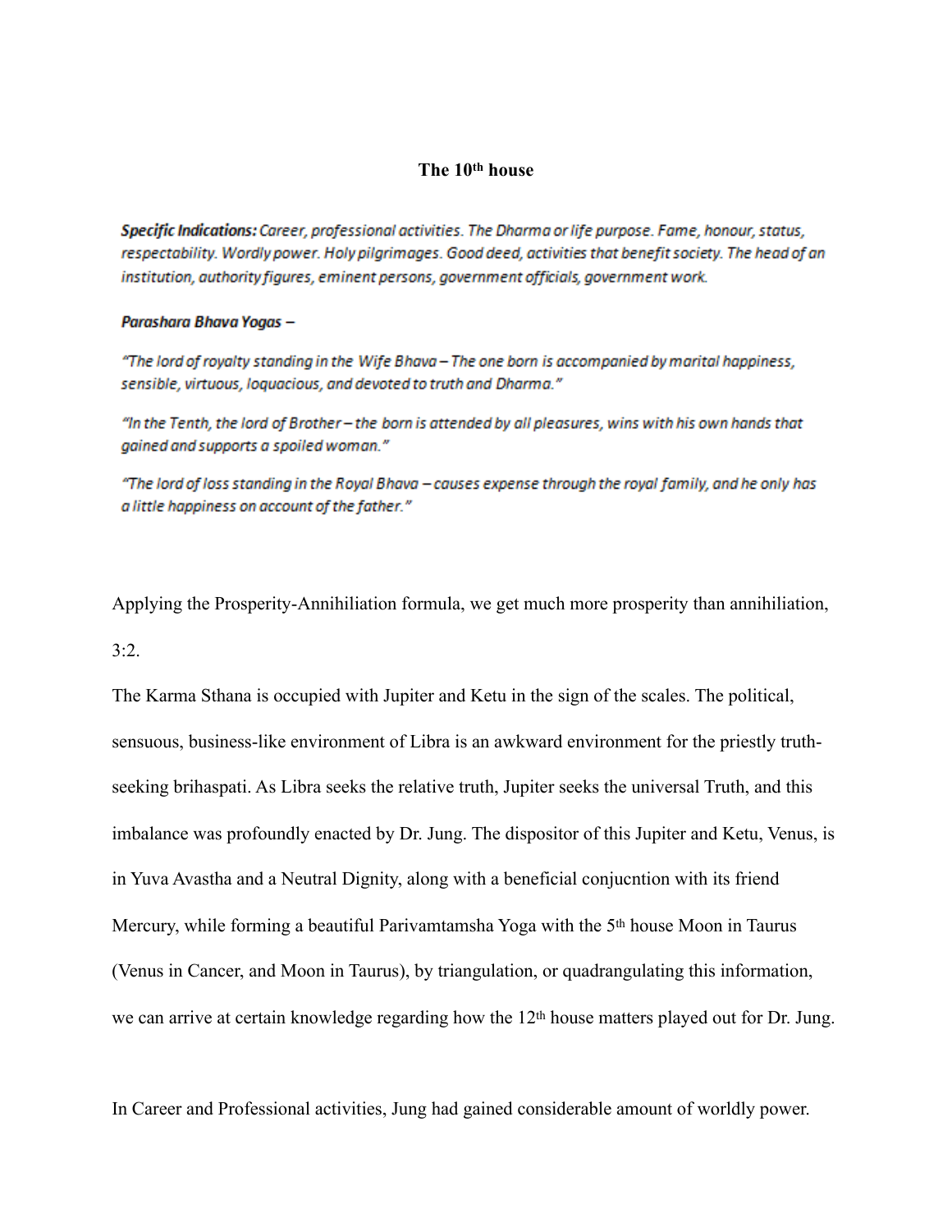### **The 10th house**

Specific Indications: Career, professional activities. The Dharma or life purpose. Fame, honour, status, respectability. Wordly power. Holy pilgrimages. Good deed, activities that benefit society. The head of an institution, authority figures, eminent persons, government officials, government work.

#### Parashara Bhava Yogas -

"The lord of royalty standing in the Wife Bhava - The one born is accompanied by marital happiness, sensible, virtuous, loquacious, and devoted to truth and Dharma."

"In the Tenth, the lord of Brother -- the born is attended by all pleasures, wins with his own hands that gained and supports a spoiled woman."

"The lord of loss standing in the Royal Bhava – causes expense through the royal family, and he only has a little happiness on account of the father."

Applying the Prosperity-Annihiliation formula, we get much more prosperity than annihiliation,  $3:2.$ 

The Karma Sthana is occupied with Jupiter and Ketu in the sign of the scales. The political, sensuous, business-like environment of Libra is an awkward environment for the priestly truthseeking brihaspati. As Libra seeks the relative truth, Jupiter seeks the universal Truth, and this imbalance was profoundly enacted by Dr. Jung. The dispositor of this Jupiter and Ketu, Venus, is in Yuva Avastha and a Neutral Dignity, along with a beneficial conjucntion with its friend Mercury, while forming a beautiful Parivamtamsha Yoga with the 5th house Moon in Taurus (Venus in Cancer, and Moon in Taurus), by triangulation, or quadrangulating this information, we can arrive at certain knowledge regarding how the 12<sup>th</sup> house matters played out for Dr. Jung.

In Career and Professional activities, Jung had gained considerable amount of worldly power.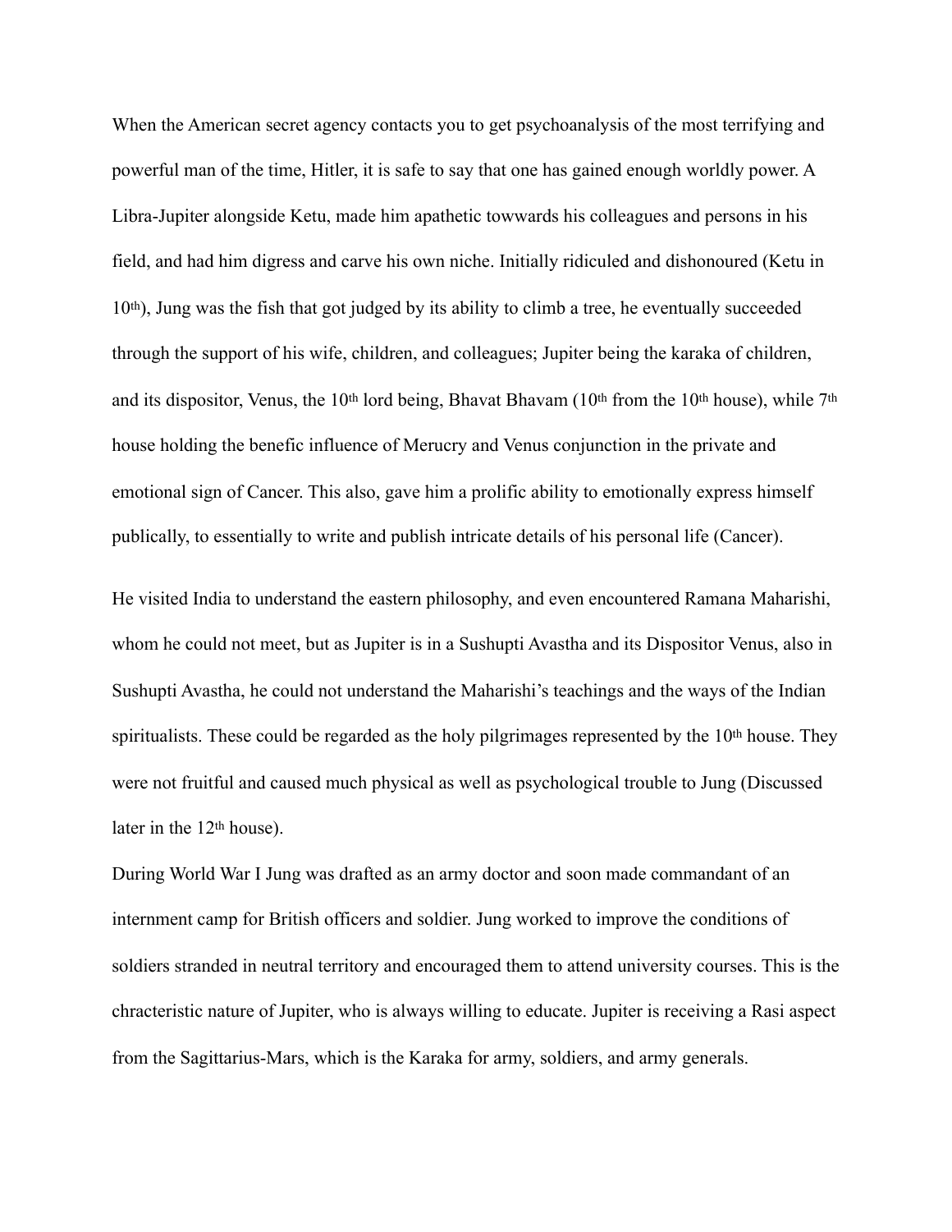When the American secret agency contacts you to get psychoanalysis of the most terrifying and powerful man of the time, Hitler, it is safe to say that one has gained enough worldly power. A Libra-Jupiter alongside Ketu, made him apathetic towwards his colleagues and persons in his field, and had him digress and carve his own niche. Initially ridiculed and dishonoured (Ketu in 10th), Jung was the fish that got judged by its ability to climb a tree, he eventually succeeded through the support of his wife, children, and colleagues; Jupiter being the karaka of children, and its dispositor, Venus, the 10th lord being, Bhavat Bhavam (10th from the 10th house), while 7th house holding the benefic influence of Merucry and Venus conjunction in the private and emotional sign of Cancer. This also, gave him a prolific ability to emotionally express himself publically, to essentially to write and publish intricate details of his personal life (Cancer).

He visited India to understand the eastern philosophy, and even encountered Ramana Maharishi, whom he could not meet, but as Jupiter is in a Sushupti Avastha and its Dispositor Venus, also in Sushupti Avastha, he could not understand the Maharishi's teachings and the ways of the Indian spiritualists. These could be regarded as the holy pilgrimages represented by the 10<sup>th</sup> house. They were not fruitful and caused much physical as well as psychological trouble to Jung (Discussed later in the 12th house).

During World War I Jung was drafted as an army doctor and soon made commandant of an internment camp for British officers and soldier. Jung worked to improve the conditions of soldiers stranded in neutral territory and encouraged them to attend university courses. This is the chracteristic nature of Jupiter, who is always willing to educate. Jupiter is receiving a Rasi aspect from the Sagittarius-Mars, which is the Karaka for army, soldiers, and army generals.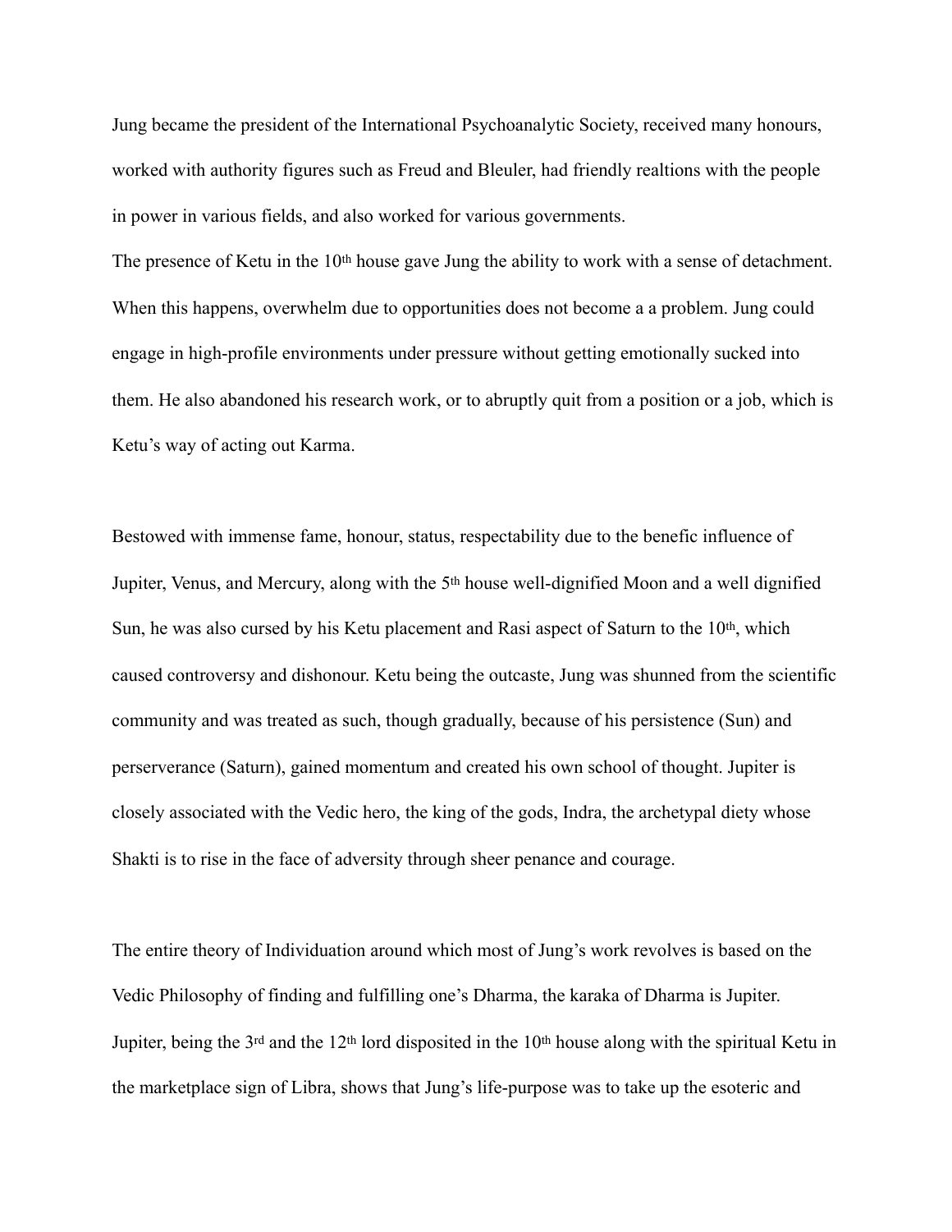Jung became the president of the International Psychoanalytic Society, received many honours, worked with authority figures such as Freud and Bleuler, had friendly realtions with the people in power in various fields, and also worked for various governments.

The presence of Ketu in the 10<sup>th</sup> house gave Jung the ability to work with a sense of detachment. When this happens, overwhelm due to opportunities does not become a a problem. Jung could engage in high-profile environments under pressure without getting emotionally sucked into them. He also abandoned his research work, or to abruptly quit from a position or a job, which is Ketu's way of acting out Karma.

Bestowed with immense fame, honour, status, respectability due to the benefic influence of Jupiter, Venus, and Mercury, along with the 5th house well-dignified Moon and a well dignified Sun, he was also cursed by his Ketu placement and Rasi aspect of Saturn to the 10<sup>th</sup>, which caused controversy and dishonour. Ketu being the outcaste, Jung was shunned from the scientific community and was treated as such, though gradually, because of his persistence (Sun) and perserverance (Saturn), gained momentum and created his own school of thought. Jupiter is closely associated with the Vedic hero, the king of the gods, Indra, the archetypal diety whose Shakti is to rise in the face of adversity through sheer penance and courage.

The entire theory of Individuation around which most of Jung's work revolves is based on the Vedic Philosophy of finding and fulfilling one's Dharma, the karaka of Dharma is Jupiter. Jupiter, being the 3rd and the 12th lord disposited in the 10th house along with the spiritual Ketu in the marketplace sign of Libra, shows that Jung's life-purpose was to take up the esoteric and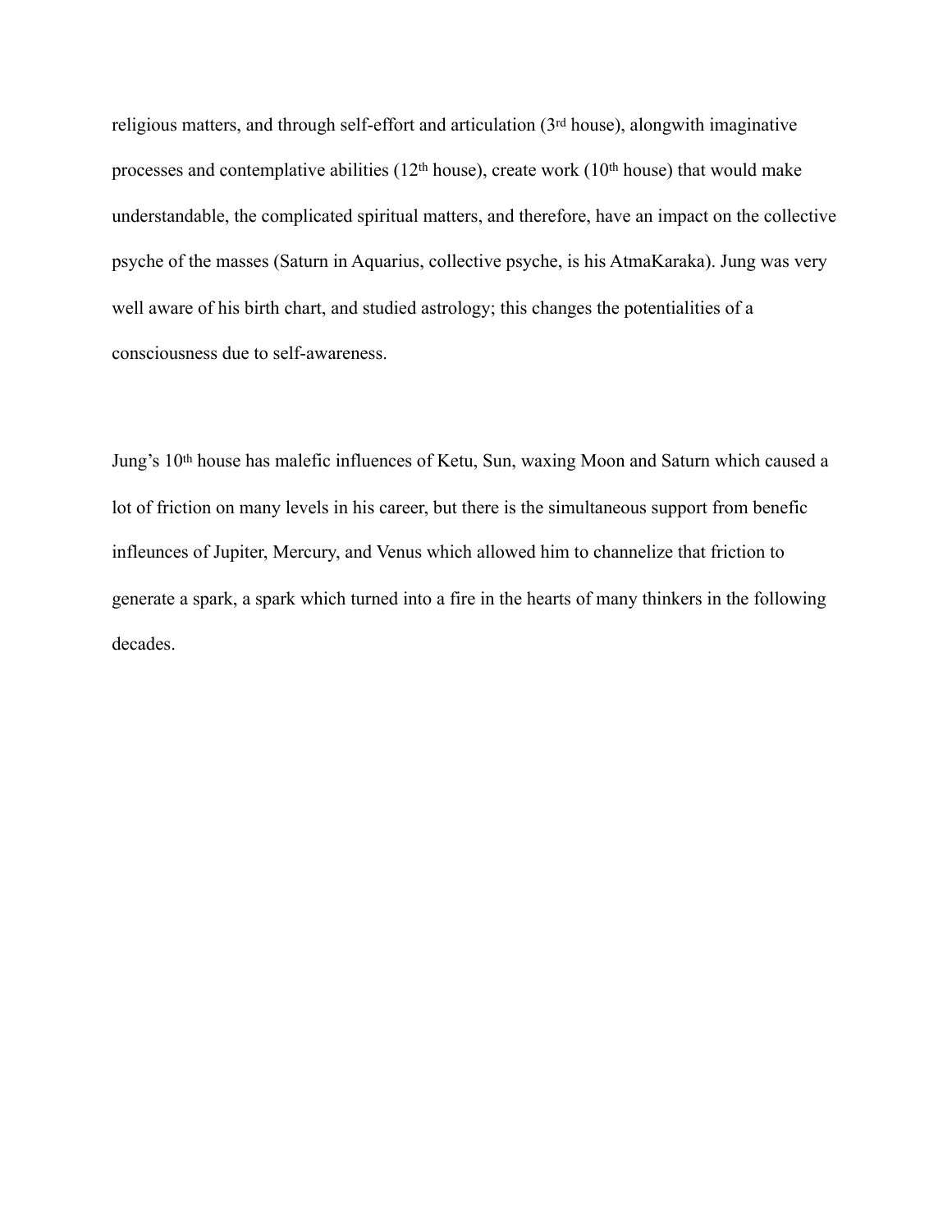religious matters, and through self-effort and articulation (3rd house), alongwith imaginative processes and contemplative abilities (12<sup>th</sup> house), create work (10<sup>th</sup> house) that would make understandable, the complicated spiritual matters, and therefore, have an impact on the collective psyche of the masses (Saturn in Aquarius, collective psyche, is his AtmaKaraka). Jung was very well aware of his birth chart, and studied astrology; this changes the potentialities of a consciousness due to self-awareness.

Jung's 10th house has malefic influences of Ketu, Sun, waxing Moon and Saturn which caused a lot of friction on many levels in his career, but there is the simultaneous support from benefic infleunces of Jupiter, Mercury, and Venus which allowed him to channelize that friction to generate a spark, a spark which turned into a fire in the hearts of many thinkers in the following decades.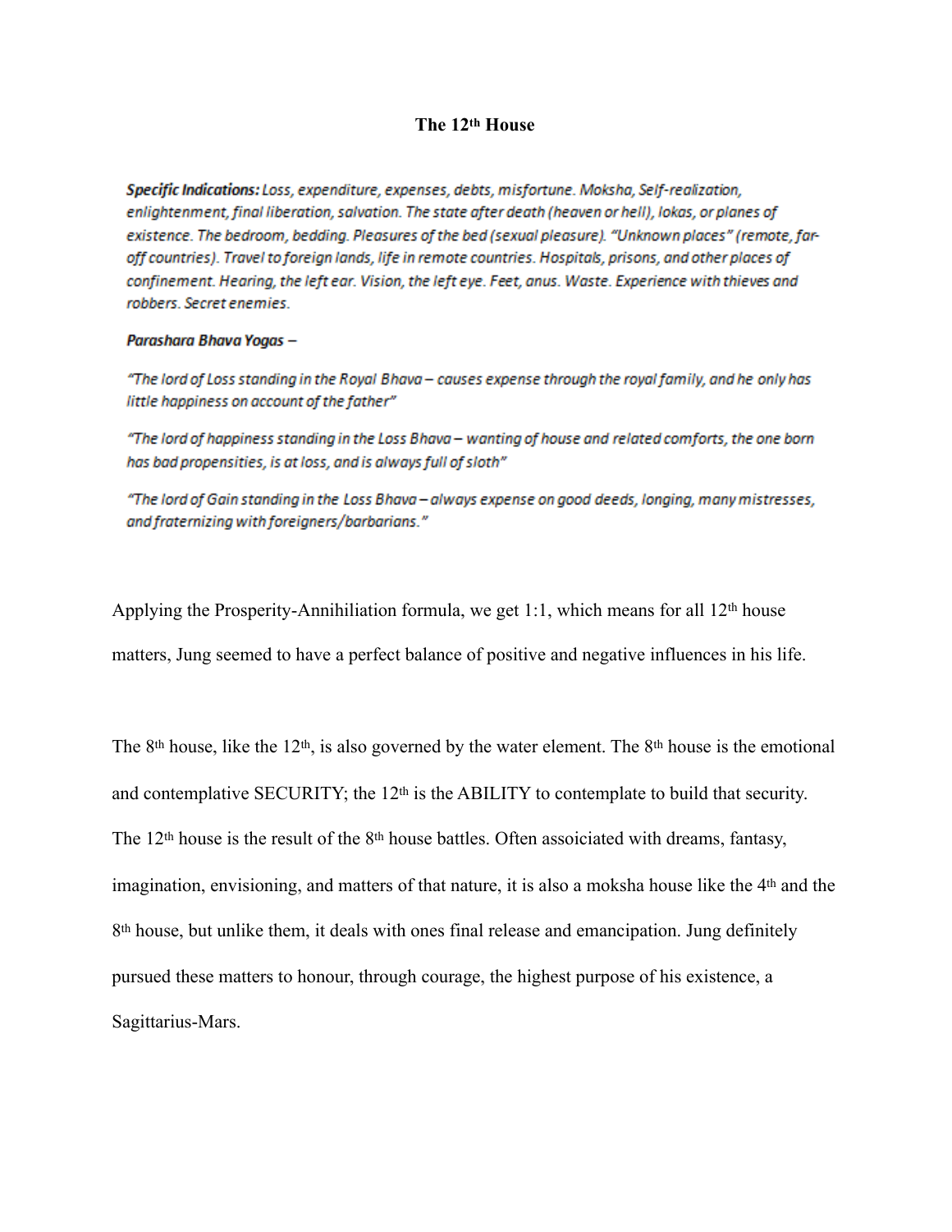## **The 12th House**

Specific Indications: Loss, expenditure, expenses, debts, misfortune, Moksha, Self-realization, enlightenment, final liberation, salvation. The state after death (heaven or hell), lokas, or planes of existence. The bedroom, bedding. Pleasures of the bed (sexual pleasure). "Unknown places" (remote, faroff countries). Travel to foreign lands, life in remote countries. Hospitals, prisons, and other places of confinement. Hearing, the left ear. Vision, the left eye. Feet, anus. Waste. Experience with thieves and robbers. Secret enemies.

#### Parashara Bhava Yogas -

"The lord of Loss standing in the Royal Bhava - causes expense through the royal family, and he only has little happiness on account of the father"

"The lord of happiness standing in the Loss Bhava - wanting of house and related comforts, the one born has bad propensities, is at loss, and is always full of sloth"

"The lord of Gain standing in the Loss Bhava - always expense on good deeds, longing, many mistresses, and fraternizing with foreigners/barbarians."

Applying the Prosperity-Annihiliation formula, we get 1:1, which means for all  $12<sup>th</sup>$  house

matters, Jung seemed to have a perfect balance of positive and negative influences in his life.

The 8<sup>th</sup> house, like the 12<sup>th</sup>, is also governed by the water element. The 8<sup>th</sup> house is the emotional and contemplative SECURITY; the 12<sup>th</sup> is the ABILITY to contemplate to build that security. The 12th house is the result of the 8th house battles. Often assoiciated with dreams, fantasy, imagination, envisioning, and matters of that nature, it is also a moksha house like the 4th and the 8<sup>th</sup> house, but unlike them, it deals with ones final release and emancipation. Jung definitely pursued these matters to honour, through courage, the highest purpose of his existence, a Sagittarius-Mars.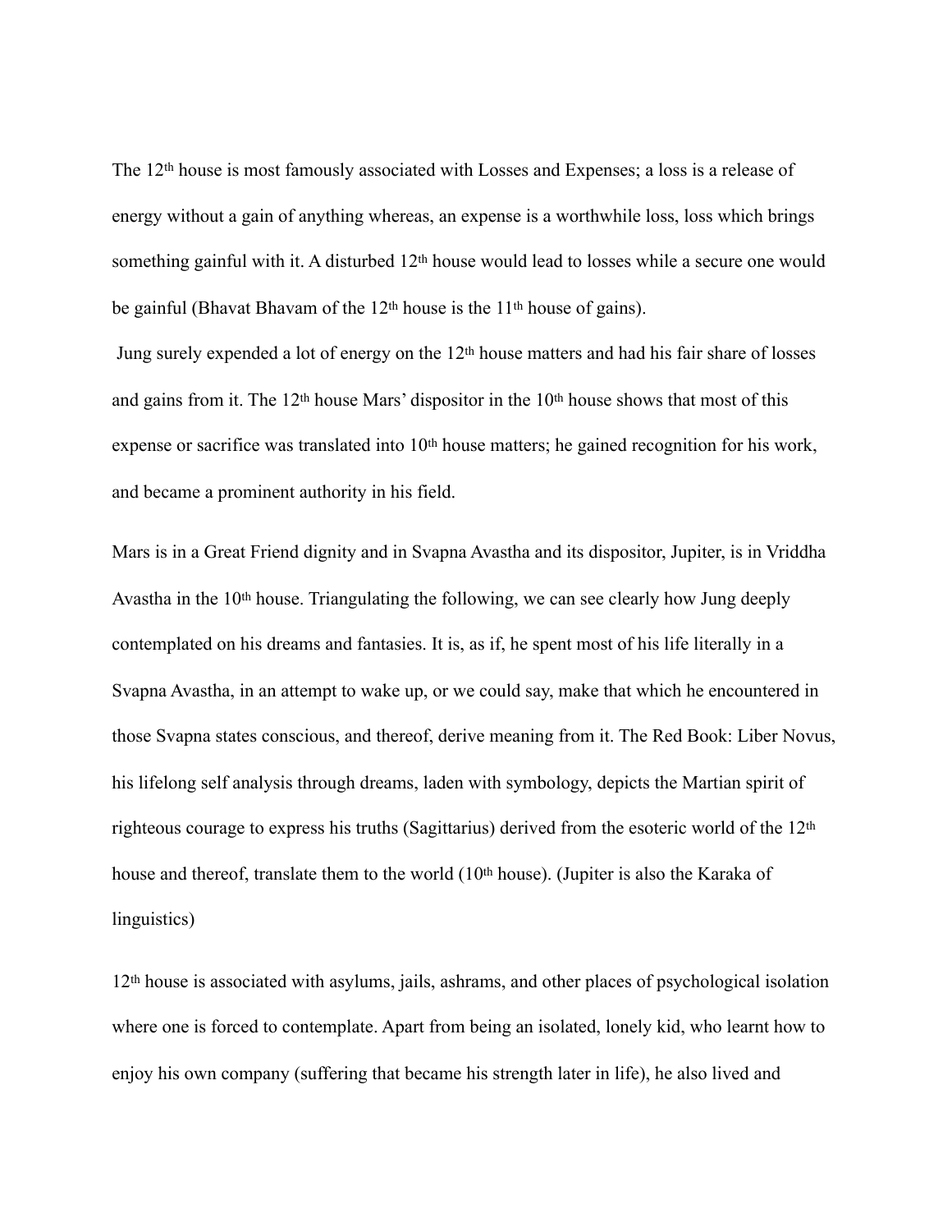The 12th house is most famously associated with Losses and Expenses; a loss is a release of energy without a gain of anything whereas, an expense is a worthwhile loss, loss which brings something gainful with it. A disturbed 12<sup>th</sup> house would lead to losses while a secure one would be gainful (Bhavat Bhavam of the 12th house is the 11th house of gains).

 Jung surely expended a lot of energy on the 12th house matters and had his fair share of losses and gains from it. The 12<sup>th</sup> house Mars' dispositor in the 10<sup>th</sup> house shows that most of this expense or sacrifice was translated into 10<sup>th</sup> house matters; he gained recognition for his work, and became a prominent authority in his field.

Mars is in a Great Friend dignity and in Svapna Avastha and its dispositor, Jupiter, is in Vriddha Avastha in the 10th house. Triangulating the following, we can see clearly how Jung deeply contemplated on his dreams and fantasies. It is, as if, he spent most of his life literally in a Svapna Avastha, in an attempt to wake up, or we could say, make that which he encountered in those Svapna states conscious, and thereof, derive meaning from it. The Red Book: Liber Novus, his lifelong self analysis through dreams, laden with symbology, depicts the Martian spirit of righteous courage to express his truths (Sagittarius) derived from the esoteric world of the 12th house and thereof, translate them to the world (10<sup>th</sup> house). (Jupiter is also the Karaka of linguistics)

12th house is associated with asylums, jails, ashrams, and other places of psychological isolation where one is forced to contemplate. Apart from being an isolated, lonely kid, who learnt how to enjoy his own company (suffering that became his strength later in life), he also lived and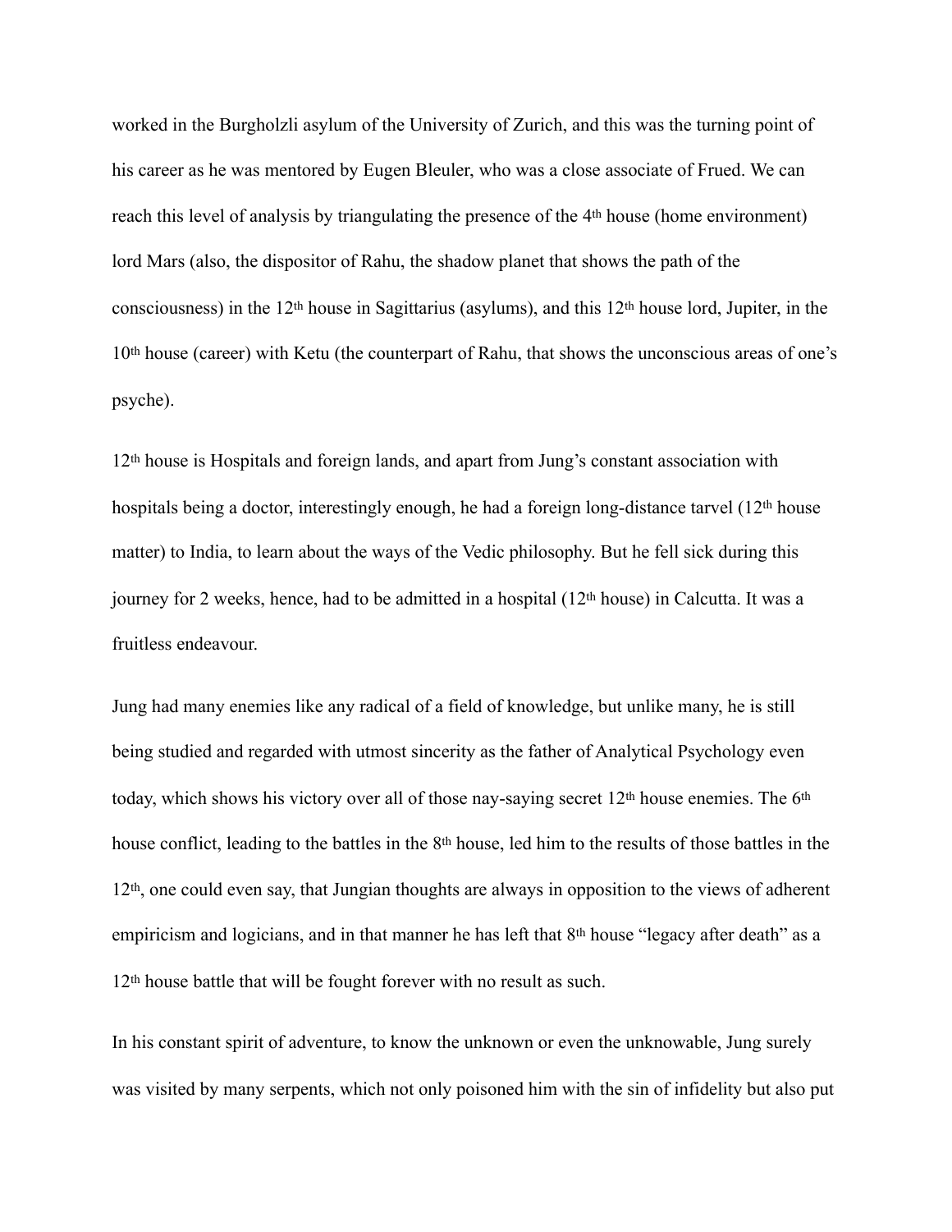worked in the Burgholzli asylum of the University of Zurich, and this was the turning point of his career as he was mentored by Eugen Bleuler, who was a close associate of Frued. We can reach this level of analysis by triangulating the presence of the 4th house (home environment) lord Mars (also, the dispositor of Rahu, the shadow planet that shows the path of the consciousness) in the 12th house in Sagittarius (asylums), and this 12th house lord, Jupiter, in the 10th house (career) with Ketu (the counterpart of Rahu, that shows the unconscious areas of one's psyche).

12th house is Hospitals and foreign lands, and apart from Jung's constant association with hospitals being a doctor, interestingly enough, he had a foreign long-distance tarvel (12<sup>th</sup> house matter) to India, to learn about the ways of the Vedic philosophy. But he fell sick during this journey for 2 weeks, hence, had to be admitted in a hospital (12th house) in Calcutta. It was a fruitless endeavour.

Jung had many enemies like any radical of a field of knowledge, but unlike many, he is still being studied and regarded with utmost sincerity as the father of Analytical Psychology even today, which shows his victory over all of those nay-saying secret 12th house enemies. The 6th house conflict, leading to the battles in the 8th house, led him to the results of those battles in the 12th, one could even say, that Jungian thoughts are always in opposition to the views of adherent empiricism and logicians, and in that manner he has left that 8<sup>th</sup> house "legacy after death" as a 12th house battle that will be fought forever with no result as such.

In his constant spirit of adventure, to know the unknown or even the unknowable, Jung surely was visited by many serpents, which not only poisoned him with the sin of infidelity but also put